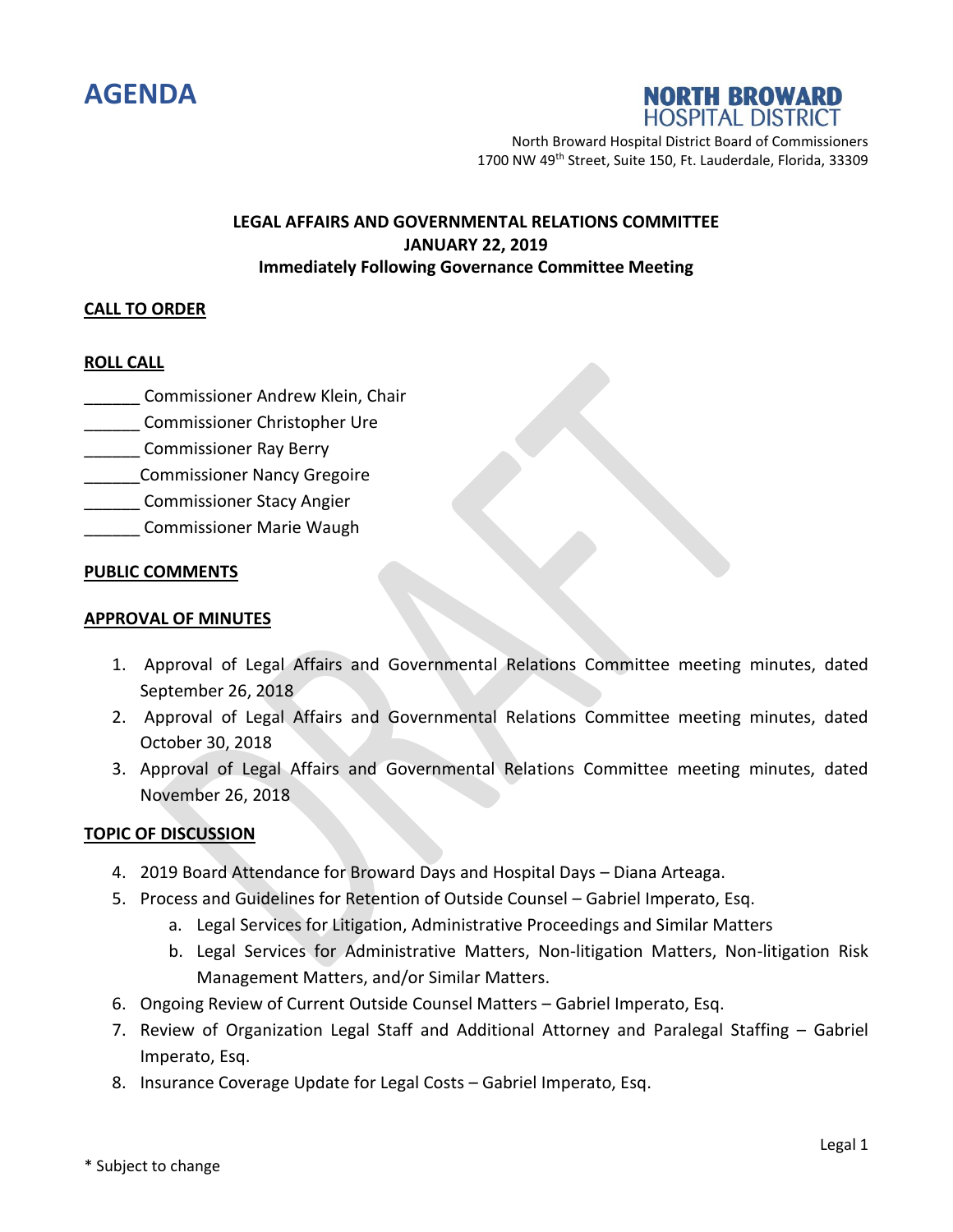



North Broward Hospital District Board of Commissioners 1700 NW 49th Street, Suite 150, Ft. Lauderdale, Florida, 33309

# **LEGAL AFFAIRS AND GOVERNMENTAL RELATIONS COMMITTEE JANUARY 22, 2019 Immediately Following Governance Committee Meeting**

### **CALL TO ORDER**

### **ROLL CALL**

- \_\_\_\_\_\_ Commissioner Andrew Klein, Chair
- \_\_\_\_\_\_ Commissioner Christopher Ure
- **Commissioner Ray Berry**
- \_\_\_\_\_\_Commissioner Nancy Gregoire
- \_\_\_\_\_\_ Commissioner Stacy Angier
- \_\_\_\_\_\_ Commissioner Marie Waugh

#### **PUBLIC COMMENTS**

#### **APPROVAL OF MINUTES**

- 1. Approval of Legal Affairs and Governmental Relations Committee meeting minutes, dated September 26, 2018
- 2. Approval of Legal Affairs and Governmental Relations Committee meeting minutes, dated October 30, 2018
- 3. Approval of Legal Affairs and Governmental Relations Committee meeting minutes, dated November 26, 2018

#### **TOPIC OF DISCUSSION**

- 4. 2019 Board Attendance for Broward Days and Hospital Days Diana Arteaga.
- 5. Process and Guidelines for Retention of Outside Counsel Gabriel Imperato, Esq.
	- a. Legal Services for Litigation, Administrative Proceedings and Similar Matters
	- b. Legal Services for Administrative Matters, Non-litigation Matters, Non-litigation Risk Management Matters, and/or Similar Matters.
- 6. Ongoing Review of Current Outside Counsel Matters Gabriel Imperato, Esq.
- 7. Review of Organization Legal Staff and Additional Attorney and Paralegal Staffing Gabriel Imperato, Esq.
- 8. Insurance Coverage Update for Legal Costs Gabriel Imperato, Esq.